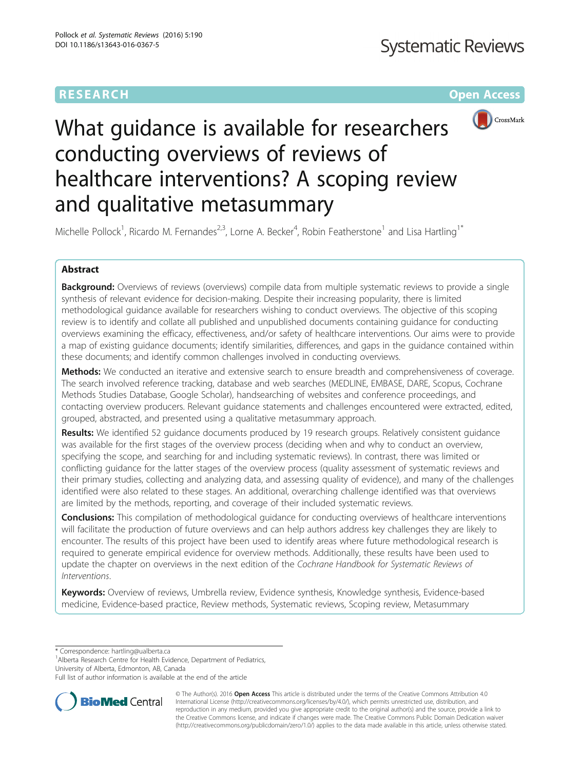## **RESEARCH CHEAR CHEAR CHEAR CHEAR CHEAR CHEAR CHEAR CHEAR CHEAR CHEAR CHEAR CHEAR CHEAR CHEAR CHEAR CHEAR CHEAR**



# What guidance is available for researchers conducting overviews of reviews of healthcare interventions? A scoping review and qualitative metasummary

Michelle Pollock<sup>1</sup>, Ricardo M. Fernandes<sup>2,3</sup>, Lorne A. Becker<sup>4</sup>, Robin Featherstone<sup>1</sup> and Lisa Hartling<sup>1\*</sup>

#### Abstract

Background: Overviews of reviews (overviews) compile data from multiple systematic reviews to provide a single synthesis of relevant evidence for decision-making. Despite their increasing popularity, there is limited methodological guidance available for researchers wishing to conduct overviews. The objective of this scoping review is to identify and collate all published and unpublished documents containing guidance for conducting overviews examining the efficacy, effectiveness, and/or safety of healthcare interventions. Our aims were to provide a map of existing guidance documents; identify similarities, differences, and gaps in the guidance contained within these documents; and identify common challenges involved in conducting overviews.

Methods: We conducted an iterative and extensive search to ensure breadth and comprehensiveness of coverage. The search involved reference tracking, database and web searches (MEDLINE, EMBASE, DARE, Scopus, Cochrane Methods Studies Database, Google Scholar), handsearching of websites and conference proceedings, and contacting overview producers. Relevant guidance statements and challenges encountered were extracted, edited, grouped, abstracted, and presented using a qualitative metasummary approach.

Results: We identified 52 quidance documents produced by 19 research groups. Relatively consistent quidance was available for the first stages of the overview process (deciding when and why to conduct an overview, specifying the scope, and searching for and including systematic reviews). In contrast, there was limited or conflicting guidance for the latter stages of the overview process (quality assessment of systematic reviews and their primary studies, collecting and analyzing data, and assessing quality of evidence), and many of the challenges identified were also related to these stages. An additional, overarching challenge identified was that overviews are limited by the methods, reporting, and coverage of their included systematic reviews.

**Conclusions:** This compilation of methodological guidance for conducting overviews of healthcare interventions will facilitate the production of future overviews and can help authors address key challenges they are likely to encounter. The results of this project have been used to identify areas where future methodological research is required to generate empirical evidence for overview methods. Additionally, these results have been used to update the chapter on overviews in the next edition of the Cochrane Handbook for Systematic Reviews of Interventions.

Keywords: Overview of reviews, Umbrella review, Evidence synthesis, Knowledge synthesis, Evidence-based medicine, Evidence-based practice, Review methods, Systematic reviews, Scoping review, Metasummary

\* Correspondence: [hartling@ualberta.ca](mailto:hartling@ualberta.ca) <sup>1</sup>

<sup>1</sup> Alberta Research Centre for Health Evidence, Department of Pediatrics, University of Alberta, Edmonton, AB, Canada

Full list of author information is available at the end of the article



© The Author(s). 2016 Open Access This article is distributed under the terms of the Creative Commons Attribution 4.0 International License [\(http://creativecommons.org/licenses/by/4.0/](http://creativecommons.org/licenses/by/4.0/)), which permits unrestricted use, distribution, and reproduction in any medium, provided you give appropriate credit to the original author(s) and the source, provide a link to the Creative Commons license, and indicate if changes were made. The Creative Commons Public Domain Dedication waiver [\(http://creativecommons.org/publicdomain/zero/1.0/](http://creativecommons.org/publicdomain/zero/1.0/)) applies to the data made available in this article, unless otherwise stated.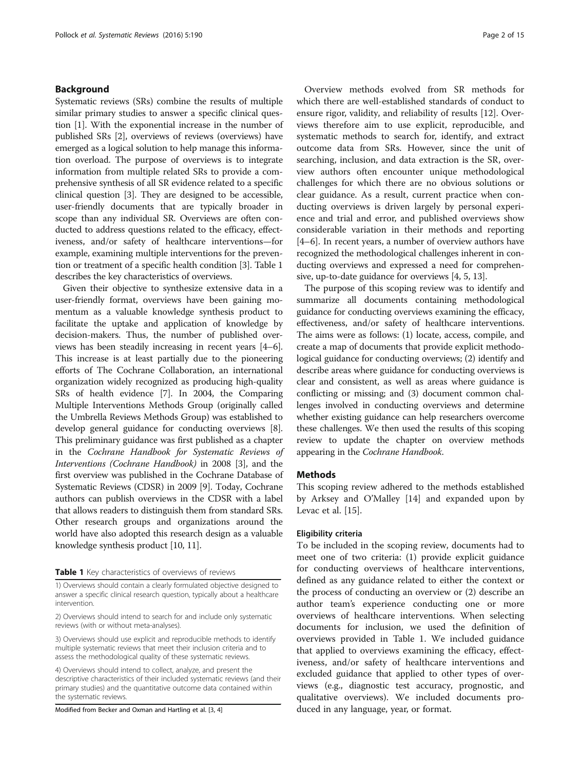#### Background

Systematic reviews (SRs) combine the results of multiple similar primary studies to answer a specific clinical question [\[1](#page-13-0)]. With the exponential increase in the number of published SRs [[2\]](#page-13-0), overviews of reviews (overviews) have emerged as a logical solution to help manage this information overload. The purpose of overviews is to integrate information from multiple related SRs to provide a comprehensive synthesis of all SR evidence related to a specific clinical question [\[3](#page-13-0)]. They are designed to be accessible, user-friendly documents that are typically broader in scope than any individual SR. Overviews are often conducted to address questions related to the efficacy, effectiveness, and/or safety of healthcare interventions—for example, examining multiple interventions for the prevention or treatment of a specific health condition [[3\]](#page-13-0). Table 1 describes the key characteristics of overviews.

Given their objective to synthesize extensive data in a user-friendly format, overviews have been gaining momentum as a valuable knowledge synthesis product to facilitate the uptake and application of knowledge by decision-makers. Thus, the number of published overviews has been steadily increasing in recent years [[4](#page-13-0)–[6](#page-13-0)]. This increase is at least partially due to the pioneering efforts of The Cochrane Collaboration, an international organization widely recognized as producing high-quality SRs of health evidence [\[7](#page-13-0)]. In 2004, the Comparing Multiple Interventions Methods Group (originally called the Umbrella Reviews Methods Group) was established to develop general guidance for conducting overviews [[8](#page-13-0)]. This preliminary guidance was first published as a chapter in the Cochrane Handbook for Systematic Reviews of Interventions (Cochrane Handbook) in 2008 [[3](#page-13-0)], and the first overview was published in the Cochrane Database of Systematic Reviews (CDSR) in 2009 [\[9](#page-13-0)]. Today, Cochrane authors can publish overviews in the CDSR with a label that allows readers to distinguish them from standard SRs. Other research groups and organizations around the world have also adopted this research design as a valuable knowledge synthesis product [[10](#page-13-0), [11\]](#page-13-0).

Table 1 Key characteristics of overviews of reviews

1) Overviews should contain a clearly formulated objective designed to answer a specific clinical research question, typically about a healthcare intervention.

2) Overviews should intend to search for and include only systematic reviews (with or without meta-analyses).

3) Overviews should use explicit and reproducible methods to identify multiple systematic reviews that meet their inclusion criteria and to assess the methodological quality of these systematic reviews.

4) Overviews should intend to collect, analyze, and present the descriptive characteristics of their included systematic reviews (and their primary studies) and the quantitative outcome data contained within the systematic reviews.

Modified from Becker and Oxman and Hartling et al. [\[3,](#page-13-0) [4\]](#page-13-0)

Overview methods evolved from SR methods for which there are well-established standards of conduct to ensure rigor, validity, and reliability of results [[12\]](#page-13-0). Overviews therefore aim to use explicit, reproducible, and systematic methods to search for, identify, and extract outcome data from SRs. However, since the unit of searching, inclusion, and data extraction is the SR, overview authors often encounter unique methodological challenges for which there are no obvious solutions or clear guidance. As a result, current practice when conducting overviews is driven largely by personal experience and trial and error, and published overviews show considerable variation in their methods and reporting [[4](#page-13-0)–[6\]](#page-13-0). In recent years, a number of overview authors have recognized the methodological challenges inherent in conducting overviews and expressed a need for comprehensive, up-to-date guidance for overviews [[4](#page-13-0), [5](#page-13-0), [13](#page-13-0)].

The purpose of this scoping review was to identify and summarize all documents containing methodological guidance for conducting overviews examining the efficacy, effectiveness, and/or safety of healthcare interventions. The aims were as follows: (1) locate, access, compile, and create a map of documents that provide explicit methodological guidance for conducting overviews; (2) identify and describe areas where guidance for conducting overviews is clear and consistent, as well as areas where guidance is conflicting or missing; and (3) document common challenges involved in conducting overviews and determine whether existing guidance can help researchers overcome these challenges. We then used the results of this scoping review to update the chapter on overview methods appearing in the Cochrane Handbook.

#### **Methods**

This scoping review adhered to the methods established by Arksey and O'Malley [\[14](#page-13-0)] and expanded upon by Levac et al. [[15\]](#page-13-0).

#### Eligibility criteria

To be included in the scoping review, documents had to meet one of two criteria: (1) provide explicit guidance for conducting overviews of healthcare interventions, defined as any guidance related to either the context or the process of conducting an overview or (2) describe an author team's experience conducting one or more overviews of healthcare interventions. When selecting documents for inclusion, we used the definition of overviews provided in Table 1. We included guidance that applied to overviews examining the efficacy, effectiveness, and/or safety of healthcare interventions and excluded guidance that applied to other types of overviews (e.g., diagnostic test accuracy, prognostic, and qualitative overviews). We included documents produced in any language, year, or format.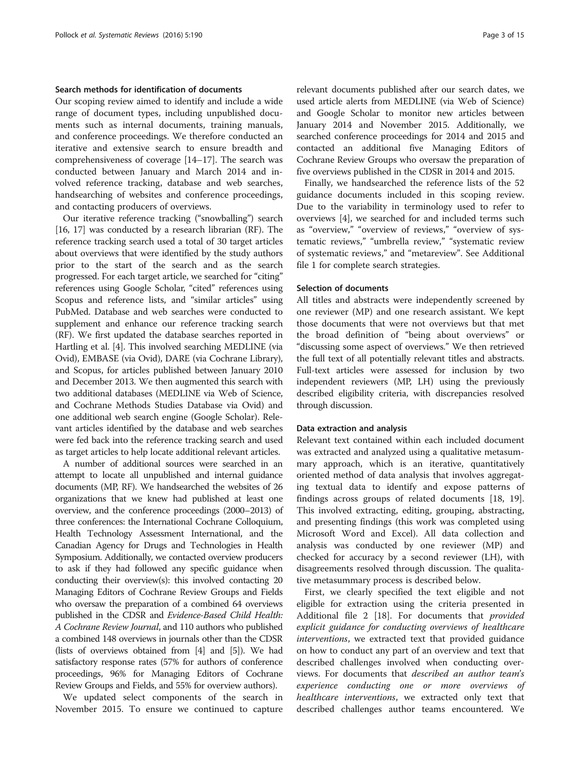#### Search methods for identification of documents

Our scoping review aimed to identify and include a wide range of document types, including unpublished documents such as internal documents, training manuals, and conference proceedings. We therefore conducted an iterative and extensive search to ensure breadth and comprehensiveness of coverage [\[14](#page-13-0)–[17\]](#page-13-0). The search was conducted between January and March 2014 and involved reference tracking, database and web searches, handsearching of websites and conference proceedings, and contacting producers of overviews.

Our iterative reference tracking ("snowballing") search [[16](#page-13-0), [17\]](#page-13-0) was conducted by a research librarian (RF). The reference tracking search used a total of 30 target articles about overviews that were identified by the study authors prior to the start of the search and as the search progressed. For each target article, we searched for "citing" references using Google Scholar, "cited" references using Scopus and reference lists, and "similar articles" using PubMed. Database and web searches were conducted to supplement and enhance our reference tracking search (RF). We first updated the database searches reported in Hartling et al. [[4](#page-13-0)]. This involved searching MEDLINE (via Ovid), EMBASE (via Ovid), DARE (via Cochrane Library), and Scopus, for articles published between January 2010 and December 2013. We then augmented this search with two additional databases (MEDLINE via Web of Science, and Cochrane Methods Studies Database via Ovid) and one additional web search engine (Google Scholar). Relevant articles identified by the database and web searches were fed back into the reference tracking search and used as target articles to help locate additional relevant articles.

A number of additional sources were searched in an attempt to locate all unpublished and internal guidance documents (MP, RF). We handsearched the websites of 26 organizations that we knew had published at least one overview, and the conference proceedings (2000–2013) of three conferences: the International Cochrane Colloquium, Health Technology Assessment International, and the Canadian Agency for Drugs and Technologies in Health Symposium. Additionally, we contacted overview producers to ask if they had followed any specific guidance when conducting their overview(s): this involved contacting 20 Managing Editors of Cochrane Review Groups and Fields who oversaw the preparation of a combined 64 overviews published in the CDSR and Evidence-Based Child Health: A Cochrane Review Journal, and 110 authors who published a combined 148 overviews in journals other than the CDSR (lists of overviews obtained from [\[4\]](#page-13-0) and [\[5\]](#page-13-0)). We had satisfactory response rates (57% for authors of conference proceedings, 96% for Managing Editors of Cochrane Review Groups and Fields, and 55% for overview authors).

We updated select components of the search in November 2015. To ensure we continued to capture relevant documents published after our search dates, we used article alerts from MEDLINE (via Web of Science) and Google Scholar to monitor new articles between January 2014 and November 2015. Additionally, we searched conference proceedings for 2014 and 2015 and contacted an additional five Managing Editors of Cochrane Review Groups who oversaw the preparation of five overviews published in the CDSR in 2014 and 2015.

Finally, we handsearched the reference lists of the 52 guidance documents included in this scoping review. Due to the variability in terminology used to refer to overviews [[4\]](#page-13-0), we searched for and included terms such as "overview," "overview of reviews," "overview of systematic reviews," "umbrella review," "systematic review of systematic reviews," and "metareview". See Additional file [1](#page-12-0) for complete search strategies.

#### Selection of documents

All titles and abstracts were independently screened by one reviewer (MP) and one research assistant. We kept those documents that were not overviews but that met the broad definition of "being about overviews" or "discussing some aspect of overviews." We then retrieved the full text of all potentially relevant titles and abstracts. Full-text articles were assessed for inclusion by two independent reviewers (MP, LH) using the previously described eligibility criteria, with discrepancies resolved through discussion.

#### Data extraction and analysis

Relevant text contained within each included document was extracted and analyzed using a qualitative metasummary approach, which is an iterative, quantitatively oriented method of data analysis that involves aggregating textual data to identify and expose patterns of findings across groups of related documents [\[18, 19](#page-13-0)]. This involved extracting, editing, grouping, abstracting, and presenting findings (this work was completed using Microsoft Word and Excel). All data collection and analysis was conducted by one reviewer (MP) and checked for accuracy by a second reviewer (LH), with disagreements resolved through discussion. The qualitative metasummary process is described below.

First, we clearly specified the text eligible and not eligible for extraction using the criteria presented in Additional file [2](#page-12-0) [\[18](#page-13-0)]. For documents that *provided* explicit guidance for conducting overviews of healthcare interventions, we extracted text that provided guidance on how to conduct any part of an overview and text that described challenges involved when conducting overviews. For documents that described an author team's experience conducting one or more overviews of healthcare interventions, we extracted only text that described challenges author teams encountered. We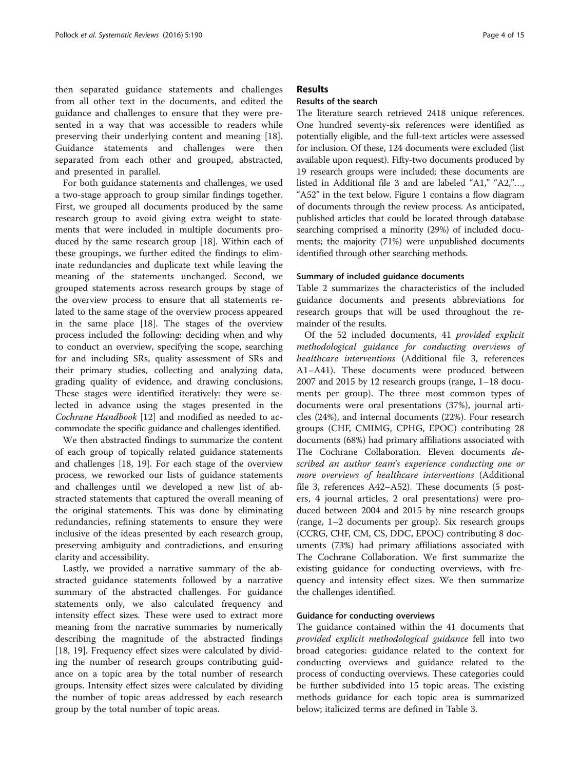then separated guidance statements and challenges from all other text in the documents, and edited the guidance and challenges to ensure that they were presented in a way that was accessible to readers while preserving their underlying content and meaning [\[18](#page-13-0)]. Guidance statements and challenges were then separated from each other and grouped, abstracted, and presented in parallel.

For both guidance statements and challenges, we used a two-stage approach to group similar findings together. First, we grouped all documents produced by the same research group to avoid giving extra weight to statements that were included in multiple documents produced by the same research group [[18](#page-13-0)]. Within each of these groupings, we further edited the findings to eliminate redundancies and duplicate text while leaving the meaning of the statements unchanged. Second, we grouped statements across research groups by stage of the overview process to ensure that all statements related to the same stage of the overview process appeared in the same place [\[18\]](#page-13-0). The stages of the overview process included the following: deciding when and why to conduct an overview, specifying the scope, searching for and including SRs, quality assessment of SRs and their primary studies, collecting and analyzing data, grading quality of evidence, and drawing conclusions. These stages were identified iteratively: they were selected in advance using the stages presented in the Cochrane Handbook [\[12](#page-13-0)] and modified as needed to accommodate the specific guidance and challenges identified.

We then abstracted findings to summarize the content of each group of topically related guidance statements and challenges [[18, 19\]](#page-13-0). For each stage of the overview process, we reworked our lists of guidance statements and challenges until we developed a new list of abstracted statements that captured the overall meaning of the original statements. This was done by eliminating redundancies, refining statements to ensure they were inclusive of the ideas presented by each research group, preserving ambiguity and contradictions, and ensuring clarity and accessibility.

Lastly, we provided a narrative summary of the abstracted guidance statements followed by a narrative summary of the abstracted challenges. For guidance statements only, we also calculated frequency and intensity effect sizes. These were used to extract more meaning from the narrative summaries by numerically describing the magnitude of the abstracted findings [[18, 19\]](#page-13-0). Frequency effect sizes were calculated by dividing the number of research groups contributing guidance on a topic area by the total number of research groups. Intensity effect sizes were calculated by dividing the number of topic areas addressed by each research group by the total number of topic areas.

#### Results

#### Results of the search

The literature search retrieved 2418 unique references. One hundred seventy-six references were identified as potentially eligible, and the full-text articles were assessed for inclusion. Of these, 124 documents were excluded (list available upon request). Fifty-two documents produced by 19 research groups were included; these documents are listed in Additional file [3](#page-12-0) and are labeled "A1," "A2,"…, "A52" in the text below. Figure [1](#page-4-0) contains a flow diagram of documents through the review process. As anticipated, published articles that could be located through database searching comprised a minority (29%) of included documents; the majority (71%) were unpublished documents identified through other searching methods.

#### Summary of included guidance documents

Table [2](#page-5-0) summarizes the characteristics of the included guidance documents and presents abbreviations for research groups that will be used throughout the remainder of the results.

Of the 52 included documents, 41 provided explicit methodological guidance for conducting overviews of healthcare interventions (Additional file [3,](#page-12-0) references A1–A41). These documents were produced between 2007 and 2015 by 12 research groups (range, 1–18 documents per group). The three most common types of documents were oral presentations (37%), journal articles (24%), and internal documents (22%). Four research groups (CHF, CMIMG, CPHG, EPOC) contributing 28 documents (68%) had primary affiliations associated with The Cochrane Collaboration. Eleven documents described an author team's experience conducting one or more overviews of healthcare interventions (Additional file [3](#page-12-0), references A42–A52). These documents (5 posters, 4 journal articles, 2 oral presentations) were produced between 2004 and 2015 by nine research groups (range, 1–2 documents per group). Six research groups (CCRG, CHF, CM, CS, DDC, EPOC) contributing 8 documents (73%) had primary affiliations associated with The Cochrane Collaboration. We first summarize the existing guidance for conducting overviews, with frequency and intensity effect sizes. We then summarize the challenges identified.

#### Guidance for conducting overviews

The guidance contained within the 41 documents that provided explicit methodological guidance fell into two broad categories: guidance related to the context for conducting overviews and guidance related to the process of conducting overviews. These categories could be further subdivided into 15 topic areas. The existing methods guidance for each topic area is summarized below; italicized terms are defined in Table [3](#page-6-0).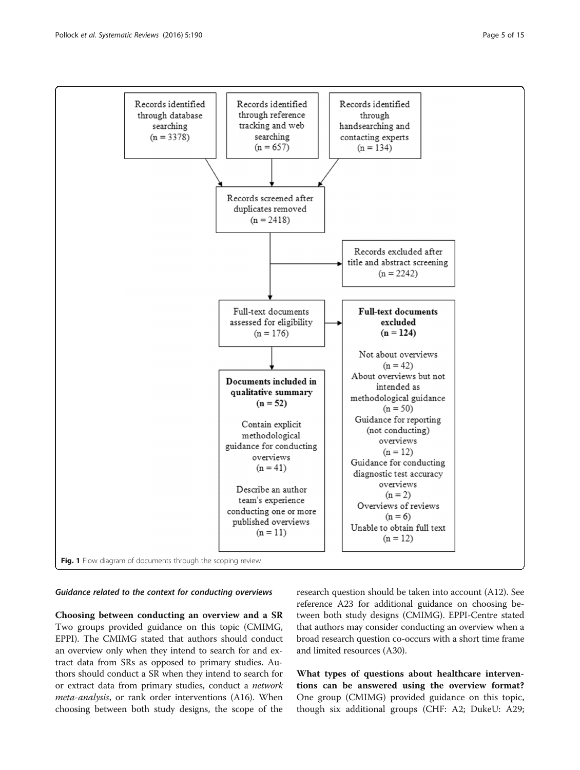<span id="page-4-0"></span>

#### Guidance related to the context for conducting overviews

Choosing between conducting an overview and a SR Two groups provided guidance on this topic (CMIMG, EPPI). The CMIMG stated that authors should conduct an overview only when they intend to search for and extract data from SRs as opposed to primary studies. Authors should conduct a SR when they intend to search for or extract data from primary studies, conduct a network meta-analysis, or rank order interventions (A16). When choosing between both study designs, the scope of the

research question should be taken into account (A12). See reference A23 for additional guidance on choosing between both study designs (CMIMG). EPPI-Centre stated that authors may consider conducting an overview when a broad research question co-occurs with a short time frame and limited resources (A30).

What types of questions about healthcare interventions can be answered using the overview format? One group (CMIMG) provided guidance on this topic, though six additional groups (CHF: A2; DukeU: A29;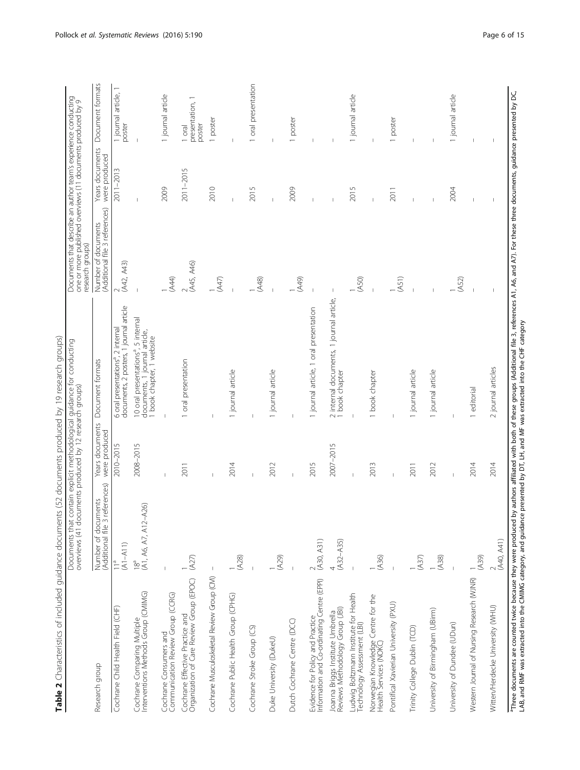<span id="page-5-0"></span>

| $(A1 - A11)$<br>Cochrane Child Health Field (CHF)<br>Research group                               |                                                                  | Documents that contain explicit methodological guidance for conducting<br>overviews (41 documents produced by 12 research groups) |                                                                                                               | one or more published overviews (11 documents produced by 9<br>research groups) |                                  |                                     |
|---------------------------------------------------------------------------------------------------|------------------------------------------------------------------|-----------------------------------------------------------------------------------------------------------------------------------|---------------------------------------------------------------------------------------------------------------|---------------------------------------------------------------------------------|----------------------------------|-------------------------------------|
|                                                                                                   | references)<br>Number of documents<br>(Additional file 3 referer | Years documents<br>were produced                                                                                                  | Document formats                                                                                              | Number of documents<br>(Additional file 3 references)                           | Years documents<br>were produced | Document formats                    |
|                                                                                                   |                                                                  | 2010-2015                                                                                                                         | documents, 2 posters, 1 journal article<br>6 oral presentations <sup>9</sup> , 2 internal                     | (A42, A43)                                                                      | 2011-2013                        | 1 journal article,<br>poster        |
| Cochrane Comparing Multiple<br>Interventions Methods Group (CMIMG)                                | A26)<br>18 <sup>a</sup><br>(A1, A6, A7, A12–                     | 2008-2015                                                                                                                         | 10 oral presentations <sup>9</sup> , 5 internal<br>documents, 1 journal article,<br>1 book chapter, 1 website |                                                                                 |                                  |                                     |
| Cochrane Consumers and<br>Communication Review Group (CCRG)                                       |                                                                  |                                                                                                                                   |                                                                                                               | (A44)                                                                           | 2009                             | 1 journal article                   |
| $\frac{1}{(A27)}$<br>Cochrane Effective Practice and<br>Organization of Care Review Group (EPOC)  |                                                                  | 2011                                                                                                                              | 1 oral presentation                                                                                           | (A45, A46)                                                                      | 2011-2015                        | presentation, 1<br>poster<br>l oral |
| Cochrane Musculoskeletal Review Group (CM)                                                        |                                                                  |                                                                                                                                   |                                                                                                               | (A47)                                                                           | 2010                             | 1 poster                            |
| (A28)<br>Cochrane Public Health Group (CPHG)                                                      |                                                                  | 2014                                                                                                                              | 1 journal article                                                                                             |                                                                                 |                                  |                                     |
| Cochrane Stroke Group (CS)                                                                        |                                                                  |                                                                                                                                   |                                                                                                               | (A48)                                                                           | 2015                             | 1 oral presentation                 |
| (A29)<br>Duke University (DukeU)                                                                  |                                                                  | 2012                                                                                                                              | 1 journal article                                                                                             |                                                                                 |                                  |                                     |
| Dutch Cochrane Centre (DCC)                                                                       |                                                                  |                                                                                                                                   |                                                                                                               | (A49)                                                                           | 2009                             | 1 poster                            |
| $2$ (A30, A31)<br>Evidence for Policy and Practice<br>Information and Co-ordinating Centre (EPPI) |                                                                  | 2015                                                                                                                              | 1 journal article, 1 oral presentation                                                                        |                                                                                 |                                  |                                     |
| $(A32 - A35)$<br>4<br>Joanna Briggs Institute Umbrella<br>Reviews Methodology Group (JBI)         |                                                                  | 2007-2015                                                                                                                         | internal documents, 1 journal article,<br>book chapter<br>$\sim$ $-$                                          | $\overline{1}$                                                                  |                                  |                                     |
| Ludwig Boltzmann Institute for Health<br>Technology Assessment (LBI)                              |                                                                  |                                                                                                                                   |                                                                                                               | (ASO)                                                                           | 2015                             | 1 journal article                   |
| (A36)<br>Norwegian Knowledge Centre for the<br>Health Services (NOKC)                             |                                                                  | 2013                                                                                                                              | 1 book chapter                                                                                                |                                                                                 | $\overline{1}$                   |                                     |
| $\mathbb{I}$<br>Pontifical Xavierian University (PXU)                                             |                                                                  |                                                                                                                                   |                                                                                                               | (A51)                                                                           | 2011                             | 1 poster                            |
| $\begin{pmatrix} -25 \ 201 \end{pmatrix}$<br>Trinity College Dublin (TCD)                         |                                                                  | 2011                                                                                                                              | 1 journal article                                                                                             |                                                                                 |                                  |                                     |
| (A38)<br>University of Birmingham (UBirm)                                                         |                                                                  | 2012                                                                                                                              | 1 journal article                                                                                             |                                                                                 |                                  |                                     |
| University of Dundee (UDun)                                                                       |                                                                  |                                                                                                                                   |                                                                                                               | (A52)                                                                           | 2004                             | 1 journal article                   |
| (650)<br>Western Journal of Nursing Research (WJNR)                                               |                                                                  | 2014                                                                                                                              | 1 editorial                                                                                                   |                                                                                 |                                  |                                     |
| (A40, A41)<br>Witten/Herdecke University (WHU)                                                    |                                                                  | 2014                                                                                                                              | 2 journal articles                                                                                            |                                                                                 | $\overline{1}$                   |                                     |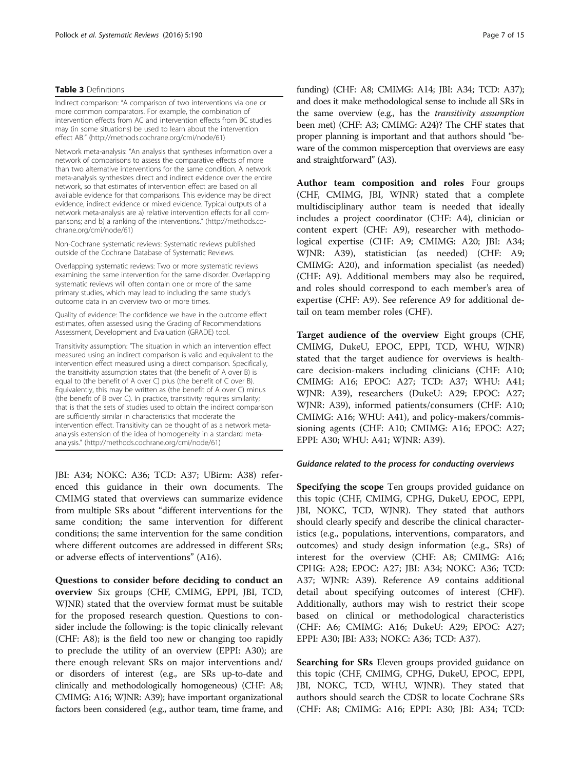#### <span id="page-6-0"></span>Table 3 Definitions

Indirect comparison: "A comparison of two interventions via one or more common comparators. For example, the combination of intervention effects from AC and intervention effects from BC studies may (in some situations) be used to learn about the intervention effect AB." (<http://methods.cochrane.org/cmi/node/61>)

Network meta-analysis: "An analysis that syntheses information over a network of comparisons to assess the comparative effects of more than two alternative interventions for the same condition. A network meta-analysis synthesizes direct and indirect evidence over the entire network, so that estimates of intervention effect are based on all available evidence for that comparisons. This evidence may be direct evidence, indirect evidence or mixed evidence. Typical outputs of a network meta-analysis are a) relative intervention effects for all comparisons; and b) a ranking of the interventions." [\(http://methods.co](http://methods.cochrane.org/cmi/node/61)[chrane.org/cmi/node/61\)](http://methods.cochrane.org/cmi/node/61)

Non-Cochrane systematic reviews: Systematic reviews published outside of the Cochrane Database of Systematic Reviews.

Overlapping systematic reviews: Two or more systematic reviews examining the same intervention for the same disorder. Overlapping systematic reviews will often contain one or more of the same primary studies, which may lead to including the same study's outcome data in an overview two or more times.

Quality of evidence: The confidence we have in the outcome effect estimates, often assessed using the Grading of Recommendations Assessment, Development and Evaluation (GRADE) tool.

Transitivity assumption: "The situation in which an intervention effect measured using an indirect comparison is valid and equivalent to the intervention effect measured using a direct comparison. Specifically, the transitivity assumption states that (the benefit of A over B) is equal to (the benefit of A over C) plus (the benefit of C over B). Equivalently, this may be written as (the benefit of A over C) minus (the benefit of B over C). In practice, transitivity requires similarity; that is that the sets of studies used to obtain the indirect comparison are sufficiently similar in characteristics that moderate the intervention effect. Transitivity can be thought of as a network metaanalysis extension of the idea of homogeneity in a standard metaanalysis." ([http://methods.cochrane.org/cmi/node/61\)](http://methods.cochrane.org/cmi/node/61)

JBI: A34; NOKC: A36; TCD: A37; UBirm: A38) referenced this guidance in their own documents. The CMIMG stated that overviews can summarize evidence from multiple SRs about "different interventions for the same condition; the same intervention for different conditions; the same intervention for the same condition where different outcomes are addressed in different SRs; or adverse effects of interventions" (A16).

Questions to consider before deciding to conduct an overview Six groups (CHF, CMIMG, EPPI, JBI, TCD, WJNR) stated that the overview format must be suitable for the proposed research question. Questions to consider include the following: is the topic clinically relevant (CHF: A8); is the field too new or changing too rapidly to preclude the utility of an overview (EPPI: A30); are there enough relevant SRs on major interventions and/ or disorders of interest (e.g., are SRs up-to-date and clinically and methodologically homogeneous) (CHF: A8; CMIMG: A16; WJNR: A39); have important organizational factors been considered (e.g., author team, time frame, and

funding) (CHF: A8; CMIMG: A14; JBI: A34; TCD: A37); and does it make methodological sense to include all SRs in the same overview (e.g., has the transitivity assumption been met) (CHF: A3; CMIMG: A24)? The CHF states that proper planning is important and that authors should "beware of the common misperception that overviews are easy and straightforward" (A3).

Author team composition and roles Four groups (CHF, CMIMG, JBI, WJNR) stated that a complete multidisciplinary author team is needed that ideally includes a project coordinator (CHF: A4), clinician or content expert (CHF: A9), researcher with methodological expertise (CHF: A9; CMIMG: A20; JBI: A34; WJNR: A39), statistician (as needed) (CHF: A9; CMIMG: A20), and information specialist (as needed) (CHF: A9). Additional members may also be required, and roles should correspond to each member's area of expertise (CHF: A9). See reference A9 for additional detail on team member roles (CHF).

Target audience of the overview Eight groups (CHF, CMIMG, DukeU, EPOC, EPPI, TCD, WHU, WJNR) stated that the target audience for overviews is healthcare decision-makers including clinicians (CHF: A10; CMIMG: A16; EPOC: A27; TCD: A37; WHU: A41; WJNR: A39), researchers (DukeU: A29; EPOC: A27; WJNR: A39), informed patients/consumers (CHF: A10; CMIMG: A16; WHU: A41), and policy-makers/commissioning agents (CHF: A10; CMIMG: A16; EPOC: A27; EPPI: A30; WHU: A41; WJNR: A39).

#### Guidance related to the process for conducting overviews

Specifying the scope Ten groups provided guidance on this topic (CHF, CMIMG, CPHG, DukeU, EPOC, EPPI, JBI, NOKC, TCD, WJNR). They stated that authors should clearly specify and describe the clinical characteristics (e.g., populations, interventions, comparators, and outcomes) and study design information (e.g., SRs) of interest for the overview (CHF: A8; CMIMG: A16; CPHG: A28; EPOC: A27; JBI: A34; NOKC: A36; TCD: A37; WJNR: A39). Reference A9 contains additional detail about specifying outcomes of interest (CHF). Additionally, authors may wish to restrict their scope based on clinical or methodological characteristics (CHF: A6; CMIMG: A16; DukeU: A29; EPOC: A27; EPPI: A30; JBI: A33; NOKC: A36; TCD: A37).

Searching for SRs Eleven groups provided guidance on this topic (CHF, CMIMG, CPHG, DukeU, EPOC, EPPI, JBI, NOKC, TCD, WHU, WJNR). They stated that authors should search the CDSR to locate Cochrane SRs (CHF: A8; CMIMG: A16; EPPI: A30; JBI: A34; TCD: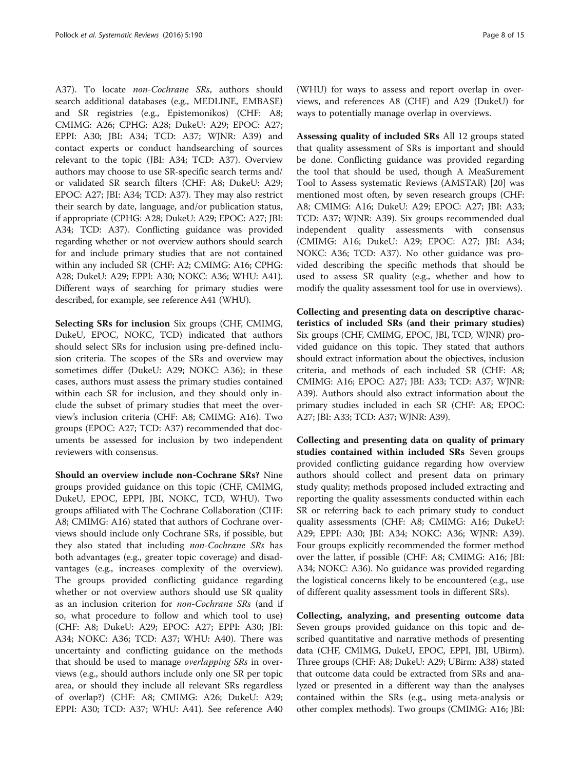A37). To locate non-Cochrane SRs, authors should search additional databases (e.g., MEDLINE, EMBASE) and SR registries (e.g., Epistemonikos) (CHF: A8; CMIMG: A26; CPHG: A28; DukeU: A29; EPOC: A27; EPPI: A30; JBI: A34; TCD: A37; WJNR: A39) and contact experts or conduct handsearching of sources relevant to the topic (JBI: A34; TCD: A37). Overview authors may choose to use SR-specific search terms and/ or validated SR search filters (CHF: A8; DukeU: A29; EPOC: A27; JBI: A34; TCD: A37). They may also restrict their search by date, language, and/or publication status, if appropriate (CPHG: A28; DukeU: A29; EPOC: A27; JBI: A34; TCD: A37). Conflicting guidance was provided regarding whether or not overview authors should search for and include primary studies that are not contained within any included SR (CHF: A2; CMIMG: A16; CPHG: A28; DukeU: A29; EPPI: A30; NOKC: A36; WHU: A41). Different ways of searching for primary studies were described, for example, see reference A41 (WHU).

Selecting SRs for inclusion Six groups (CHF, CMIMG, DukeU, EPOC, NOKC, TCD) indicated that authors should select SRs for inclusion using pre-defined inclusion criteria. The scopes of the SRs and overview may sometimes differ (DukeU: A29; NOKC: A36); in these cases, authors must assess the primary studies contained within each SR for inclusion, and they should only include the subset of primary studies that meet the overview's inclusion criteria (CHF: A8; CMIMG: A16). Two groups (EPOC: A27; TCD: A37) recommended that documents be assessed for inclusion by two independent reviewers with consensus.

Should an overview include non-Cochrane SRs? Nine groups provided guidance on this topic (CHF, CMIMG, DukeU, EPOC, EPPI, JBI, NOKC, TCD, WHU). Two groups affiliated with The Cochrane Collaboration (CHF: A8; CMIMG: A16) stated that authors of Cochrane overviews should include only Cochrane SRs, if possible, but they also stated that including non-Cochrane SRs has both advantages (e.g., greater topic coverage) and disadvantages (e.g., increases complexity of the overview). The groups provided conflicting guidance regarding whether or not overview authors should use SR quality as an inclusion criterion for non-Cochrane SRs (and if so, what procedure to follow and which tool to use) (CHF: A8; DukeU: A29; EPOC: A27; EPPI: A30; JBI: A34; NOKC: A36; TCD: A37; WHU: A40). There was uncertainty and conflicting guidance on the methods that should be used to manage overlapping SRs in overviews (e.g., should authors include only one SR per topic area, or should they include all relevant SRs regardless of overlap?) (CHF: A8; CMIMG: A26; DukeU: A29; EPPI: A30; TCD: A37; WHU: A41). See reference A40

(WHU) for ways to assess and report overlap in overviews, and references A8 (CHF) and A29 (DukeU) for ways to potentially manage overlap in overviews.

Assessing quality of included SRs All 12 groups stated that quality assessment of SRs is important and should be done. Conflicting guidance was provided regarding the tool that should be used, though A MeaSurement Tool to Assess systematic Reviews (AMSTAR) [[20](#page-13-0)] was mentioned most often, by seven research groups (CHF: A8; CMIMG: A16; DukeU: A29; EPOC: A27; JBI: A33; TCD: A37; WJNR: A39). Six groups recommended dual independent quality assessments with consensus (CMIMG: A16; DukeU: A29; EPOC: A27; JBI: A34; NOKC: A36; TCD: A37). No other guidance was provided describing the specific methods that should be used to assess SR quality (e.g., whether and how to modify the quality assessment tool for use in overviews).

Collecting and presenting data on descriptive characteristics of included SRs (and their primary studies) Six groups (CHF, CMIMG, EPOC, JBI, TCD, WJNR) provided guidance on this topic. They stated that authors should extract information about the objectives, inclusion criteria, and methods of each included SR (CHF: A8; CMIMG: A16; EPOC: A27; JBI: A33; TCD: A37; WJNR: A39). Authors should also extract information about the primary studies included in each SR (CHF: A8; EPOC: A27; JBI: A33; TCD: A37; WJNR: A39).

Collecting and presenting data on quality of primary studies contained within included SRs Seven groups provided conflicting guidance regarding how overview authors should collect and present data on primary study quality; methods proposed included extracting and reporting the quality assessments conducted within each SR or referring back to each primary study to conduct quality assessments (CHF: A8; CMIMG: A16; DukeU: A29; EPPI: A30; JBI: A34; NOKC: A36; WJNR: A39). Four groups explicitly recommended the former method over the latter, if possible (CHF: A8; CMIMG: A16; JBI: A34; NOKC: A36). No guidance was provided regarding the logistical concerns likely to be encountered (e.g., use of different quality assessment tools in different SRs).

Collecting, analyzing, and presenting outcome data Seven groups provided guidance on this topic and described quantitative and narrative methods of presenting data (CHF, CMIMG, DukeU, EPOC, EPPI, JBI, UBirm). Three groups (CHF: A8; DukeU: A29; UBirm: A38) stated that outcome data could be extracted from SRs and analyzed or presented in a different way than the analyses contained within the SRs (e.g., using meta-analysis or other complex methods). Two groups (CMIMG: A16; JBI: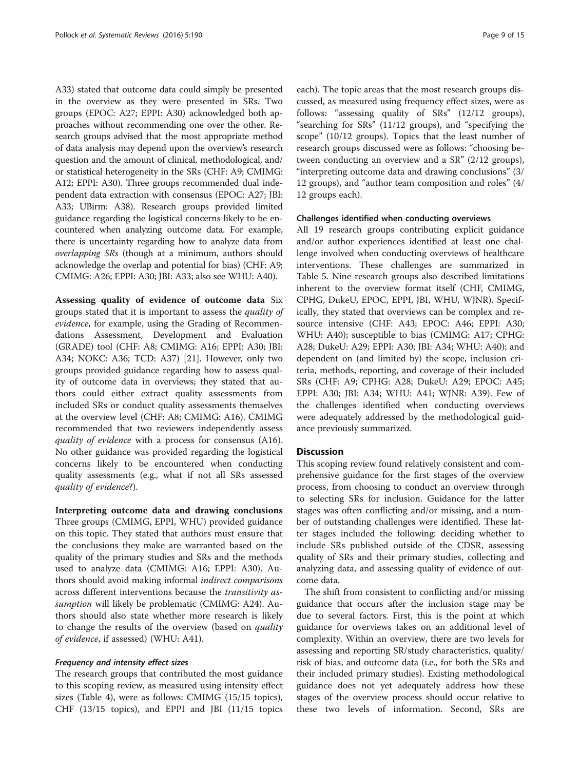A33) stated that outcome data could simply be presented in the overview as they were presented in SRs. Two groups (EPOC: A27; EPPI: A30) acknowledged both approaches without recommending one over the other. Research groups advised that the most appropriate method of data analysis may depend upon the overview's research question and the amount of clinical, methodological, and/ or statistical heterogeneity in the SRs (CHF: A9; CMIMG: A12; EPPI: A30). Three groups recommended dual independent data extraction with consensus (EPOC: A27; JBI: A33; UBirm: A38). Research groups provided limited guidance regarding the logistical concerns likely to be encountered when analyzing outcome data. For example, there is uncertainty regarding how to analyze data from overlapping SRs (though at a minimum, authors should acknowledge the overlap and potential for bias) (CHF: A9; CMIMG: A26; EPPI: A30; JBI: A33; also see WHU: A40).

Assessing quality of evidence of outcome data Six groups stated that it is important to assess the quality of evidence, for example, using the Grading of Recommendations Assessment, Development and Evaluation (GRADE) tool (CHF: A8; CMIMG: A16; EPPI: A30; JBI: A34; NOKC: A36; TCD: A37) [[21\]](#page-13-0). However, only two groups provided guidance regarding how to assess quality of outcome data in overviews; they stated that authors could either extract quality assessments from included SRs or conduct quality assessments themselves at the overview level (CHF: A8; CMIMG: A16). CMIMG recommended that two reviewers independently assess quality of evidence with a process for consensus (A16). No other guidance was provided regarding the logistical concerns likely to be encountered when conducting quality assessments (e.g., what if not all SRs assessed quality of evidence?).

Interpreting outcome data and drawing conclusions Three groups (CMIMG, EPPI, WHU) provided guidance on this topic. They stated that authors must ensure that the conclusions they make are warranted based on the quality of the primary studies and SRs and the methods used to analyze data (CMIMG: A16; EPPI: A30). Authors should avoid making informal indirect comparisons across different interventions because the transitivity assumption will likely be problematic (CMIMG: A24). Authors should also state whether more research is likely to change the results of the overview (based on quality of evidence, if assessed) (WHU: A41).

#### Frequency and intensity effect sizes

The research groups that contributed the most guidance to this scoping review, as measured using intensity effect sizes (Table [4](#page-9-0)), were as follows: CMIMG (15/15 topics), CHF (13/15 topics), and EPPI and JBI (11/15 topics each). The topic areas that the most research groups discussed, as measured using frequency effect sizes, were as follows: "assessing quality of SRs" (12/12 groups), "searching for SRs" (11/12 groups), and "specifying the scope" (10/12 groups). Topics that the least number of research groups discussed were as follows: "choosing between conducting an overview and a SR" (2/12 groups), "interpreting outcome data and drawing conclusions" (3/ 12 groups), and "author team composition and roles" (4/ 12 groups each).

#### Challenges identified when conducting overviews

All 19 research groups contributing explicit guidance and/or author experiences identified at least one challenge involved when conducting overviews of healthcare interventions. These challenges are summarized in Table [5](#page-10-0). Nine research groups also described limitations inherent to the overview format itself (CHF, CMIMG, CPHG, DukeU, EPOC, EPPI, JBI, WHU, WJNR). Specifically, they stated that overviews can be complex and resource intensive (CHF: A43; EPOC: A46; EPPI: A30; WHU: A40); susceptible to bias (CMIMG: A17; CPHG: A28; DukeU: A29; EPPI: A30; JBI: A34; WHU: A40); and dependent on (and limited by) the scope, inclusion criteria, methods, reporting, and coverage of their included SRs (CHF: A9; CPHG: A28; DukeU: A29; EPOC: A45; EPPI: A30; JBI: A34; WHU: A41; WJNR: A39). Few of the challenges identified when conducting overviews were adequately addressed by the methodological guidance previously summarized.

#### **Discussion**

This scoping review found relatively consistent and comprehensive guidance for the first stages of the overview process, from choosing to conduct an overview through to selecting SRs for inclusion. Guidance for the latter stages was often conflicting and/or missing, and a number of outstanding challenges were identified. These latter stages included the following: deciding whether to include SRs published outside of the CDSR, assessing quality of SRs and their primary studies, collecting and analyzing data, and assessing quality of evidence of outcome data.

The shift from consistent to conflicting and/or missing guidance that occurs after the inclusion stage may be due to several factors. First, this is the point at which guidance for overviews takes on an additional level of complexity. Within an overview, there are two levels for assessing and reporting SR/study characteristics, quality/ risk of bias, and outcome data (i.e., for both the SRs and their included primary studies). Existing methodological guidance does not yet adequately address how these stages of the overview process should occur relative to these two levels of information. Second, SRs are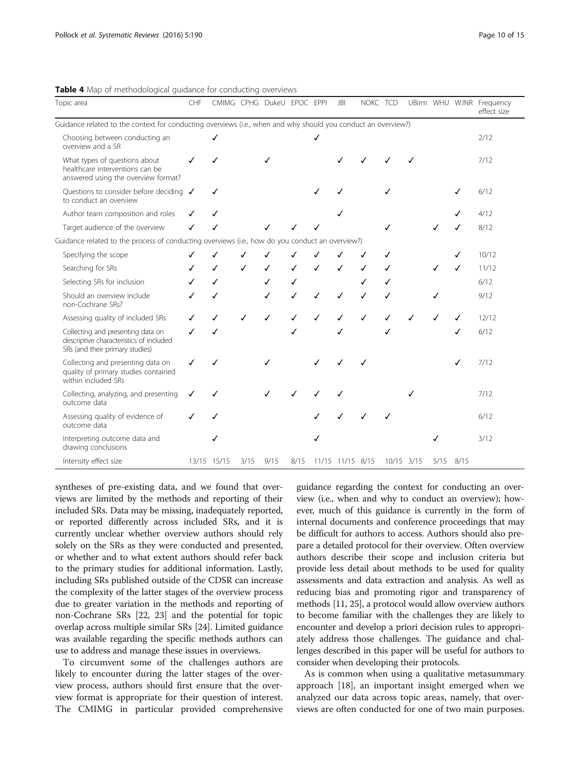| Topic area                                                                                                      | CHF         | CMIMG CPHG DukeU EPOC EPPI |      |              |      |       | <b>JBI</b> | NOKC TCD |            |   |           |   | UBirm WHU WJNR Frequency<br>effect size |
|-----------------------------------------------------------------------------------------------------------------|-------------|----------------------------|------|--------------|------|-------|------------|----------|------------|---|-----------|---|-----------------------------------------|
| Guidance related to the context for conducting overviews (i.e., when and why should you conduct an overview?)   |             |                            |      |              |      |       |            |          |            |   |           |   |                                         |
| Choosing between conducting an<br>overview and a SR                                                             |             | $\checkmark$               |      |              |      | ✓     |            |          |            |   |           |   | 2/12                                    |
| What types of questions about<br>healthcare interventions can be<br>answered using the overview format?         | ✓           | ✓                          |      | ✓            |      |       |            |          |            |   |           |   | 7/12                                    |
| Questions to consider before deciding $\sqrt$<br>to conduct an overview                                         |             | √                          |      |              |      |       | ℐ          |          | ✓          |   |           |   | 6/12                                    |
| Author team composition and roles                                                                               |             |                            |      |              |      |       |            |          |            |   |           |   | 4/12                                    |
| Target audience of the overview                                                                                 |             |                            |      | $\checkmark$ |      |       |            |          | ✓          |   |           |   | 8/12                                    |
| Guidance related to the process of conducting overviews (i.e., how do you conduct an overview?)                 |             |                            |      |              |      |       |            |          |            |   |           |   |                                         |
| Specifying the scope                                                                                            |             |                            |      |              |      |       |            |          | ℐ          |   |           | ✓ | 10/12                                   |
| Searching for SRs                                                                                               |             | ✓                          | ✓    |              |      |       |            |          | ℐ          |   |           | ✓ | 11/12                                   |
| Selecting SRs for inclusion                                                                                     |             | ℐ                          |      | ✓            | ✓    |       |            |          | ℐ          |   |           |   | 6/12                                    |
| Should an overview include<br>non-Cochrane SRs?                                                                 |             | ℐ                          |      | $\checkmark$ | ✓    |       |            |          |            |   |           |   | 9/12                                    |
| Assessing quality of included SRs                                                                               |             | ℐ                          |      |              |      |       |            |          |            |   |           |   | 12/12                                   |
| Collecting and presenting data on<br>descriptive characteristics of included<br>SRs (and their primary studies) | ℐ           | ✓                          |      |              |      |       |            |          | ✓          |   |           |   | 6/12                                    |
| Collecting and presenting data on<br>quality of primary studies contained<br>within included SRs                | ✓           |                            |      |              |      |       |            |          |            |   |           | ✓ | 7/12                                    |
| Collecting, analyzing, and presenting<br>outcome data                                                           | ✓           |                            |      |              |      |       |            |          |            | ℐ |           |   | 7/12                                    |
| Assessing quality of evidence of<br>outcome data                                                                | ✓           | ✓                          |      |              |      |       |            |          |            |   |           |   | 6/12                                    |
| Interpreting outcome data and<br>drawing conclusions                                                            |             | ✓                          |      |              |      |       |            |          |            |   |           |   | 3/12                                    |
| Intensity effect size                                                                                           | 13/15 15/15 |                            | 3/15 | 9/15         | 8/15 | 11/15 | 11/15 8/15 |          | 10/15 3/15 |   | 5/15 8/15 |   |                                         |

<span id="page-9-0"></span>Table 4 Map of methodological guidance for conducting overviews

syntheses of pre-existing data, and we found that overviews are limited by the methods and reporting of their included SRs. Data may be missing, inadequately reported, or reported differently across included SRs, and it is currently unclear whether overview authors should rely solely on the SRs as they were conducted and presented, or whether and to what extent authors should refer back to the primary studies for additional information. Lastly, including SRs published outside of the CDSR can increase the complexity of the latter stages of the overview process due to greater variation in the methods and reporting of non-Cochrane SRs [\[22, 23\]](#page-13-0) and the potential for topic overlap across multiple similar SRs [\[24\]](#page-13-0). Limited guidance was available regarding the specific methods authors can use to address and manage these issues in overviews.

To circumvent some of the challenges authors are likely to encounter during the latter stages of the overview process, authors should first ensure that the overview format is appropriate for their question of interest. The CMIMG in particular provided comprehensive

guidance regarding the context for conducting an overview (i.e., when and why to conduct an overview); however, much of this guidance is currently in the form of internal documents and conference proceedings that may be difficult for authors to access. Authors should also prepare a detailed protocol for their overview. Often overview authors describe their scope and inclusion criteria but provide less detail about methods to be used for quality assessments and data extraction and analysis. As well as reducing bias and promoting rigor and transparency of methods [[11, 25\]](#page-13-0), a protocol would allow overview authors to become familiar with the challenges they are likely to encounter and develop a priori decision rules to appropriately address those challenges. The guidance and challenges described in this paper will be useful for authors to consider when developing their protocols.

As is common when using a qualitative metasummary approach [\[18\]](#page-13-0), an important insight emerged when we analyzed our data across topic areas, namely, that overviews are often conducted for one of two main purposes.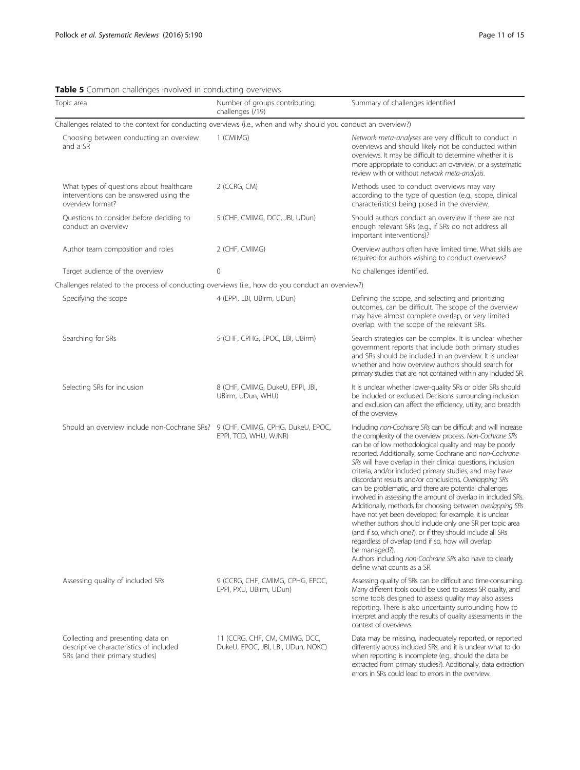### <span id="page-10-0"></span>Table 5 Common challenges involved in conducting overviews

| Topic area                                                                                                      | Number of groups contributing<br>challenges (/19)                    | Summary of challenges identified                                                                                                                                                                                                                                                                                                                                                                                                                                                                                                                                                                                                                                                                                                                                                                                                                                                                                                                                                  |  |  |  |  |  |
|-----------------------------------------------------------------------------------------------------------------|----------------------------------------------------------------------|-----------------------------------------------------------------------------------------------------------------------------------------------------------------------------------------------------------------------------------------------------------------------------------------------------------------------------------------------------------------------------------------------------------------------------------------------------------------------------------------------------------------------------------------------------------------------------------------------------------------------------------------------------------------------------------------------------------------------------------------------------------------------------------------------------------------------------------------------------------------------------------------------------------------------------------------------------------------------------------|--|--|--|--|--|
| Challenges related to the context for conducting overviews (i.e., when and why should you conduct an overview?) |                                                                      |                                                                                                                                                                                                                                                                                                                                                                                                                                                                                                                                                                                                                                                                                                                                                                                                                                                                                                                                                                                   |  |  |  |  |  |
| Choosing between conducting an overview<br>and a SR                                                             | 1 (CMIMG)                                                            | Network meta-analyses are very difficult to conduct in<br>overviews and should likely not be conducted within<br>overviews. It may be difficult to determine whether it is<br>more appropriate to conduct an overview, or a systematic<br>review with or without network meta-analysis.                                                                                                                                                                                                                                                                                                                                                                                                                                                                                                                                                                                                                                                                                           |  |  |  |  |  |
| What types of questions about healthcare<br>interventions can be answered using the<br>overview format?         | 2 (CCRG, CM)                                                         | Methods used to conduct overviews may vary<br>according to the type of question (e.g., scope, clinical<br>characteristics) being posed in the overview.                                                                                                                                                                                                                                                                                                                                                                                                                                                                                                                                                                                                                                                                                                                                                                                                                           |  |  |  |  |  |
| Questions to consider before deciding to<br>conduct an overview                                                 | 5 (CHF, CMIMG, DCC, JBI, UDun)                                       | Should authors conduct an overview if there are not<br>enough relevant SRs (e.g., if SRs do not address all<br>important interventions)?                                                                                                                                                                                                                                                                                                                                                                                                                                                                                                                                                                                                                                                                                                                                                                                                                                          |  |  |  |  |  |
| Author team composition and roles                                                                               | 2 (CHF, CMIMG)                                                       | Overview authors often have limited time. What skills are<br>required for authors wishing to conduct overviews?                                                                                                                                                                                                                                                                                                                                                                                                                                                                                                                                                                                                                                                                                                                                                                                                                                                                   |  |  |  |  |  |
| Target audience of the overview                                                                                 | $\overline{0}$                                                       | No challenges identified.                                                                                                                                                                                                                                                                                                                                                                                                                                                                                                                                                                                                                                                                                                                                                                                                                                                                                                                                                         |  |  |  |  |  |
| Challenges related to the process of conducting overviews (i.e., how do you conduct an overview?)               |                                                                      |                                                                                                                                                                                                                                                                                                                                                                                                                                                                                                                                                                                                                                                                                                                                                                                                                                                                                                                                                                                   |  |  |  |  |  |
| Specifying the scope                                                                                            | 4 (EPPI, LBI, UBirm, UDun)                                           | Defining the scope, and selecting and prioritizing<br>outcomes, can be difficult. The scope of the overview<br>may have almost complete overlap, or very limited<br>overlap, with the scope of the relevant SRs.                                                                                                                                                                                                                                                                                                                                                                                                                                                                                                                                                                                                                                                                                                                                                                  |  |  |  |  |  |
| Searching for SRs                                                                                               | 5 (CHF, CPHG, EPOC, LBI, UBirm)                                      | Search strategies can be complex. It is unclear whether<br>government reports that include both primary studies<br>and SRs should be included in an overview. It is unclear<br>whether and how overview authors should search for<br>primary studies that are not contained within any included SR.                                                                                                                                                                                                                                                                                                                                                                                                                                                                                                                                                                                                                                                                               |  |  |  |  |  |
| Selecting SRs for inclusion                                                                                     | 8 (CHF, CMIMG, DukeU, EPPI, JBI,<br>UBirm, UDun, WHU)                | It is unclear whether lower-quality SRs or older SRs should<br>be included or excluded. Decisions surrounding inclusion<br>and exclusion can affect the efficiency, utility, and breadth<br>of the overview.                                                                                                                                                                                                                                                                                                                                                                                                                                                                                                                                                                                                                                                                                                                                                                      |  |  |  |  |  |
| Should an overview include non-Cochrane SRs? 9 (CHF, CMIMG, CPHG, DukeU, EPOC,                                  | EPPI, TCD, WHU, WJNR)                                                | Including non-Cochrane SRs can be difficult and will increase<br>the complexity of the overview process. Non-Cochrane SRs<br>can be of low methodological quality and may be poorly<br>reported. Additionally, some Cochrane and non-Cochrane<br>SRs will have overlap in their clinical questions, inclusion<br>criteria, and/or included primary studies, and may have<br>discordant results and/or conclusions. Overlapping SRs<br>can be problematic, and there are potential challenges<br>involved in assessing the amount of overlap in included SRs.<br>Additionally, methods for choosing between overlapping SRs<br>have not yet been developed; for example, it is unclear<br>whether authors should include only one SR per topic area<br>(and if so, which one?), or if they should include all SRs<br>regardless of overlap (and if so, how will overlap<br>be managed?).<br>Authors including non-Cochrane SRs also have to clearly<br>define what counts as a SR. |  |  |  |  |  |
| Assessing quality of included SRs                                                                               | 9 (CCRG, CHF, CMIMG, CPHG, EPOC,<br>EPPI, PXU, UBirm, UDun)          | Assessing quality of SRs can be difficult and time-consuming.<br>Many different tools could be used to assess SR quality, and<br>some tools designed to assess quality may also assess<br>reporting. There is also uncertainty surrounding how to<br>interpret and apply the results of quality assessments in the<br>context of overviews.                                                                                                                                                                                                                                                                                                                                                                                                                                                                                                                                                                                                                                       |  |  |  |  |  |
| Collecting and presenting data on<br>descriptive characteristics of included<br>SRs (and their primary studies) | 11 (CCRG, CHF, CM, CMIMG, DCC,<br>DukeU, EPOC, JBI, LBI, UDun, NOKC) | Data may be missing, inadequately reported, or reported<br>differently across included SRs, and it is unclear what to do<br>when reporting is incomplete (e.g., should the data be<br>extracted from primary studies?). Additionally, data extraction<br>errors in SRs could lead to errors in the overview.                                                                                                                                                                                                                                                                                                                                                                                                                                                                                                                                                                                                                                                                      |  |  |  |  |  |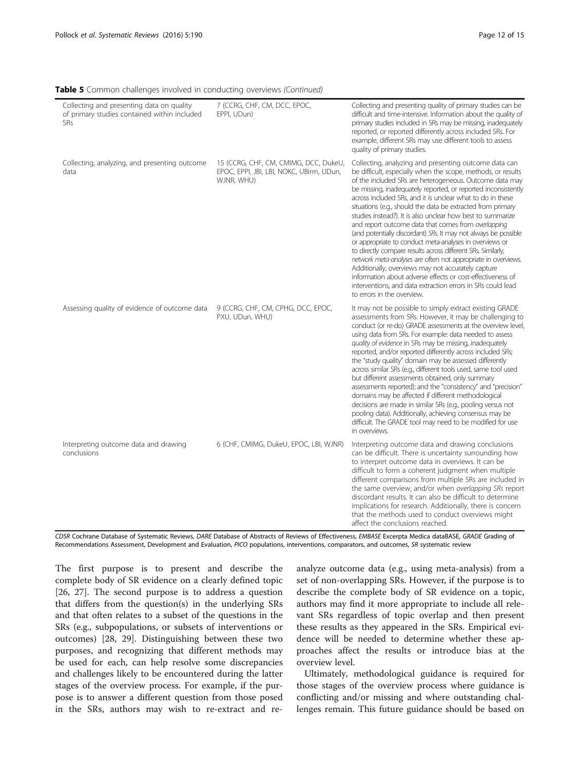Table 5 Common challenges involved in conducting overviews (Continued)

| Collecting and presenting data on quality<br>of primary studies contained within included<br><b>SRs</b> | 7 (CCRG, CHF, CM, DCC, EPOC,<br>EPPI, UDun)                                                     | Collecting and presenting quality of primary studies can be<br>difficult and time-intensive. Information about the quality of<br>primary studies included in SRs may be missing, inadequately<br>reported, or reported differently across included SRs. For<br>example, different SRs may use different tools to assess<br>quality of primary studies.                                                                                                                                                                                                                                                                                                                                                                                                                                                                                                                                                                                                                               |
|---------------------------------------------------------------------------------------------------------|-------------------------------------------------------------------------------------------------|--------------------------------------------------------------------------------------------------------------------------------------------------------------------------------------------------------------------------------------------------------------------------------------------------------------------------------------------------------------------------------------------------------------------------------------------------------------------------------------------------------------------------------------------------------------------------------------------------------------------------------------------------------------------------------------------------------------------------------------------------------------------------------------------------------------------------------------------------------------------------------------------------------------------------------------------------------------------------------------|
| Collecting, analyzing, and presenting outcome<br>data                                                   | 15 (CCRG, CHF, CM, CMIMG, DCC, DukeU,<br>EPOC, EPPI, JBI, LBI, NOKC, UBirm, UDun,<br>WJNR, WHU) | Collecting, analyzing and presenting outcome data can<br>be difficult, especially when the scope, methods, or results<br>of the included SRs are heterogeneous. Outcome data may<br>be missing, inadequately reported, or reported inconsistently<br>across included SRs, and it is unclear what to do in these<br>situations (e.g., should the data be extracted from primary<br>studies instead?). It is also unclear how best to summarize<br>and report outcome data that comes from overlapping<br>(and potentially discordant) SRs. It may not always be possible<br>or appropriate to conduct meta-analyses in overviews or<br>to directly compare results across different SRs. Similarly,<br>network meta-analyses are often not appropriate in overviews.<br>Additionally, overviews may not accurately capture<br>information about adverse effects or cost-effectiveness of<br>interventions, and data extraction errors in SRs could lead<br>to errors in the overview. |
| Assessing quality of evidence of outcome data                                                           | 9 (CCRG, CHF, CM, CPHG, DCC, EPOC,<br>PXU, UDun, WHU)                                           | It may not be possible to simply extract existing GRADE<br>assessments from SRs. However, it may be challenging to<br>conduct (or re-do) GRADE assessments at the overview level,<br>using data from SRs. For example: data needed to assess<br>quality of evidence in SRs may be missing, inadequately<br>reported, and/or reported differently across included SRs;<br>the "study quality" domain may be assessed differently<br>across similar SRs (e.g., different tools used, same tool used<br>but different assessments obtained, only summary<br>assessments reported); and the "consistency" and "precision"<br>domains may be affected if different methodological<br>decisions are made in similar SRs (e.g., pooling versus not<br>pooling data). Additionally, achieving consensus may be<br>difficult. The GRADE tool may need to be modified for use<br>in overviews.                                                                                                 |
| Interpreting outcome data and drawing<br>conclusions                                                    | 6 (CHF, CMIMG, DukeU, EPOC, LBI, WJNR)                                                          | Interpreting outcome data and drawing conclusions<br>can be difficult. There is uncertainty surrounding how<br>to interpret outcome data in overviews. It can be<br>difficult to form a coherent judgment when multiple<br>different comparisons from multiple SRs are included in<br>the same overview, and/or when overlapping SRs report<br>discordant results. It can also be difficult to determine<br>implications for research. Additionally, there is concern<br>that the methods used to conduct overviews might<br>affect the conclusions reached.                                                                                                                                                                                                                                                                                                                                                                                                                         |

CDSR Cochrane Database of Systematic Reviews, DARE Database of Abstracts of Reviews of Effectiveness, EMBASE Excerpta Medica dataBASE, GRADE Grading of Recommendations Assessment, Development and Evaluation, PICO populations, interventions, comparators, and outcomes, SR systematic review

The first purpose is to present and describe the complete body of SR evidence on a clearly defined topic [[26, 27](#page-13-0)]. The second purpose is to address a question that differs from the question(s) in the underlying SRs and that often relates to a subset of the questions in the SRs (e.g., subpopulations, or subsets of interventions or outcomes) [[28, 29\]](#page-13-0). Distinguishing between these two purposes, and recognizing that different methods may be used for each, can help resolve some discrepancies and challenges likely to be encountered during the latter stages of the overview process. For example, if the purpose is to answer a different question from those posed in the SRs, authors may wish to re-extract and re-

analyze outcome data (e.g., using meta-analysis) from a set of non-overlapping SRs. However, if the purpose is to describe the complete body of SR evidence on a topic, authors may find it more appropriate to include all relevant SRs regardless of topic overlap and then present these results as they appeared in the SRs. Empirical evidence will be needed to determine whether these approaches affect the results or introduce bias at the overview level.

Ultimately, methodological guidance is required for those stages of the overview process where guidance is conflicting and/or missing and where outstanding challenges remain. This future guidance should be based on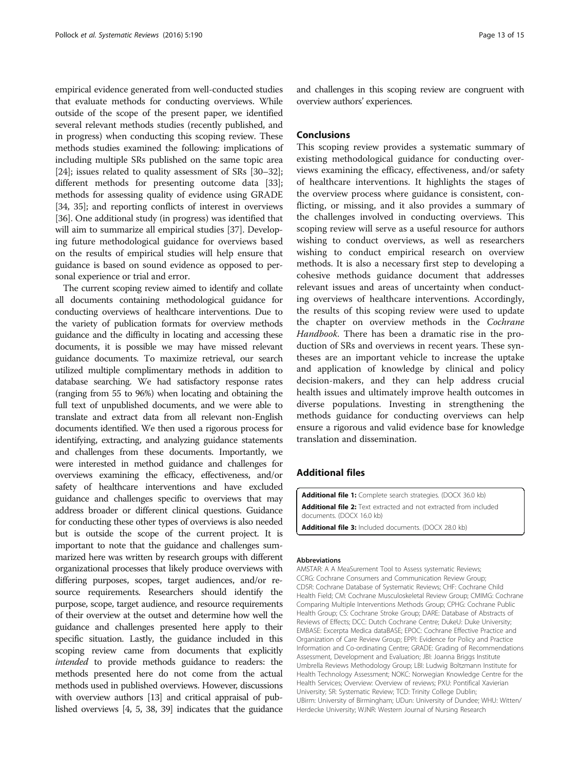<span id="page-12-0"></span>empirical evidence generated from well-conducted studies that evaluate methods for conducting overviews. While outside of the scope of the present paper, we identified several relevant methods studies (recently published, and in progress) when conducting this scoping review. These methods studies examined the following: implications of including multiple SRs published on the same topic area [[24](#page-13-0)]; issues related to quality assessment of SRs [\[30](#page-13-0)–[32](#page-13-0)]; different methods for presenting outcome data [[33](#page-13-0)]; methods for assessing quality of evidence using GRADE [[34](#page-14-0), [35](#page-14-0)]; and reporting conflicts of interest in overviews [[36](#page-14-0)]. One additional study (in progress) was identified that will aim to summarize all empirical studies [\[37\]](#page-14-0). Developing future methodological guidance for overviews based on the results of empirical studies will help ensure that guidance is based on sound evidence as opposed to personal experience or trial and error.

The current scoping review aimed to identify and collate all documents containing methodological guidance for conducting overviews of healthcare interventions. Due to the variety of publication formats for overview methods guidance and the difficulty in locating and accessing these documents, it is possible we may have missed relevant guidance documents. To maximize retrieval, our search utilized multiple complimentary methods in addition to database searching. We had satisfactory response rates (ranging from 55 to 96%) when locating and obtaining the full text of unpublished documents, and we were able to translate and extract data from all relevant non-English documents identified. We then used a rigorous process for identifying, extracting, and analyzing guidance statements and challenges from these documents. Importantly, we were interested in method guidance and challenges for overviews examining the efficacy, effectiveness, and/or safety of healthcare interventions and have excluded guidance and challenges specific to overviews that may address broader or different clinical questions. Guidance for conducting these other types of overviews is also needed but is outside the scope of the current project. It is important to note that the guidance and challenges summarized here was written by research groups with different organizational processes that likely produce overviews with differing purposes, scopes, target audiences, and/or resource requirements. Researchers should identify the purpose, scope, target audience, and resource requirements of their overview at the outset and determine how well the guidance and challenges presented here apply to their specific situation. Lastly, the guidance included in this scoping review came from documents that explicitly intended to provide methods guidance to readers: the methods presented here do not come from the actual methods used in published overviews. However, discussions with overview authors [\[13\]](#page-13-0) and critical appraisal of published overviews [[4](#page-13-0), [5,](#page-13-0) [38](#page-14-0), [39\]](#page-14-0) indicates that the guidance

and challenges in this scoping review are congruent with overview authors' experiences.

#### Conclusions

This scoping review provides a systematic summary of existing methodological guidance for conducting overviews examining the efficacy, effectiveness, and/or safety of healthcare interventions. It highlights the stages of the overview process where guidance is consistent, conflicting, or missing, and it also provides a summary of the challenges involved in conducting overviews. This scoping review will serve as a useful resource for authors wishing to conduct overviews, as well as researchers wishing to conduct empirical research on overview methods. It is also a necessary first step to developing a cohesive methods guidance document that addresses relevant issues and areas of uncertainty when conducting overviews of healthcare interventions. Accordingly, the results of this scoping review were used to update the chapter on overview methods in the Cochrane Handbook. There has been a dramatic rise in the production of SRs and overviews in recent years. These syntheses are an important vehicle to increase the uptake and application of knowledge by clinical and policy decision-makers, and they can help address crucial health issues and ultimately improve health outcomes in diverse populations. Investing in strengthening the methods guidance for conducting overviews can help ensure a rigorous and valid evidence base for knowledge translation and dissemination.

#### Additional files

[Additional file 1:](dx.doi.org/10.1186/s13643-016-0367-5) Complete search strategies. (DOCX 36.0 kb) [Additional file 2:](dx.doi.org/10.1186/s13643-016-0367-5) Text extracted and not extracted from included documents. (DOCX 16.0 kb)

[Additional file 3:](dx.doi.org/10.1186/s13643-016-0367-5) Included documents. (DOCX 28.0 kb)

#### Abbreviations

AMSTAR: A A MeaSurement Tool to Assess systematic Reviews; CCRG: Cochrane Consumers and Communication Review Group; CDSR: Cochrane Database of Systematic Reviews; CHF: Cochrane Child Health Field; CM: Cochrane Musculoskeletal Review Group; CMIMG: Cochrane Comparing Multiple Interventions Methods Group; CPHG: Cochrane Public Health Group; CS: Cochrane Stroke Group; DARE: Database of Abstracts of Reviews of Effects; DCC: Dutch Cochrane Centre; DukeU: Duke University; EMBASE: Excerpta Medica dataBASE; EPOC: Cochrane Effective Practice and Organization of Care Review Group; EPPI: Evidence for Policy and Practice Information and Co-ordinating Centre; GRADE: Grading of Recommendations Assessment, Development and Evaluation; JBI: Joanna Briggs Institute Umbrella Reviews Methodology Group; LBI: Ludwig Boltzmann Institute for Health Technology Assessment; NOKC: Norwegian Knowledge Centre for the Health Services; Overview: Overview of reviews; PXU: Pontifical Xavierian University; SR: Systematic Review; TCD: Trinity College Dublin; UBirm: University of Birmingham; UDun: University of Dundee; WHU: Witten/ Herdecke University; WJNR: Western Journal of Nursing Research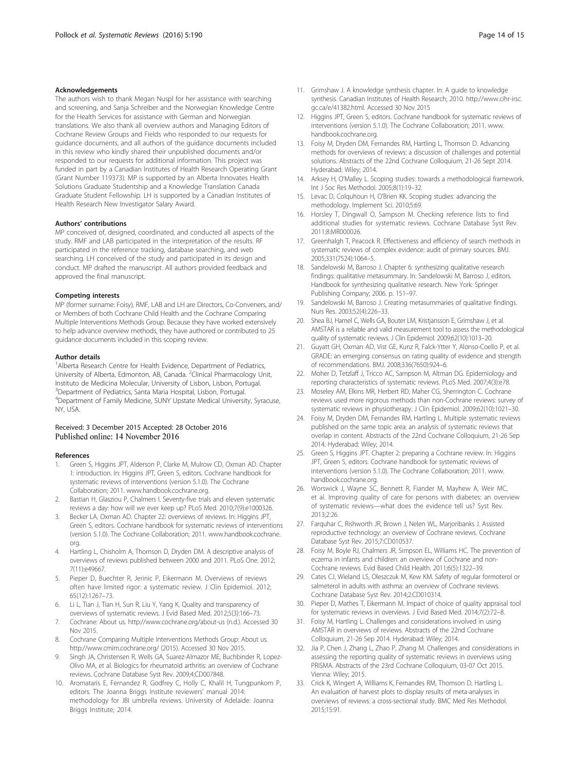#### <span id="page-13-0"></span>Acknowledgements

The authors wish to thank Megan Nuspl for her assistance with searching and screening, and Sanja Schreiber and the Norwegian Knowledge Centre for the Health Services for assistance with German and Norwegian translations. We also thank all overview authors and Managing Editors of Cochrane Review Groups and Fields who responded to our requests for guidance documents, and all authors of the guidance documents included in this review who kindly shared their unpublished documents and/or responded to our requests for additional information. This project was funded in part by a Canadian Institutes of Health Research Operating Grant (Grant Number 119373). MP is supported by an Alberta Innovates Health Solutions Graduate Studentship and a Knowledge Translation Canada Graduate Student Fellowship. LH is supported by a Canadian Institutes of Health Research New Investigator Salary Award.

#### Authors' contributions

MP conceived of, designed, coordinated, and conducted all aspects of the study. RMF and LAB participated in the interpretation of the results. RF participated in the reference tracking, database searching, and web searching. LH conceived of the study and participated in its design and conduct. MP drafted the manuscript. All authors provided feedback and approved the final manuscript.

#### Competing interests

MP (former surname: Foisy), RMF, LAB and LH are Directors, Co-Conveners, and/ or Members of both Cochrane Child Health and the Cochrane Comparing Multiple Interventions Methods Group. Because they have worked extensively to help advance overview methods, they have authored or contributed to 25 guidance documents included in this scoping review.

#### Author details

<sup>1</sup> Alberta Research Centre for Health Evidence, Department of Pediatrics, University of Alberta, Edmonton, AB, Canada. <sup>2</sup>Clinical Pharmacology Unit, Instituto de Medicina Molecular, University of Lisbon, Lisbon, Portugal. <sup>3</sup>Department of Pediatrics, Santa Maria Hospital, Lisbon, Portugal. 4 Department of Family Medicine, SUNY Upstate Medical University, Syracuse, NY, USA.

# Received: 3 December 2015 Accepted: 28 October 2016

#### References

- 1. Green S, Higgins JPT, Alderson P, Clarke M, Mulrow CD, Oxman AD. Chapter 1: introduction. In: Higgins JPT, Green S, editors. Cochrane handbook for systematic reviews of interventions (version 5.1.0). The Cochrane Collaboration; 2011. [www.handbook.cochrane.org.](http://www.handbook.cochrane.org)
- 2. Bastian H, Glasziou P, Chalmers I. Seventy-five trials and eleven systematic reviews a day: how will we ever keep up? PLoS Med. 2010;7(9):e1000326.
- 3. Becker LA, Oxman AD. Chapter 22: overviews of reviews. In: Higgins JPT, Green S, editors. Cochrane handbook for systematic reviews of interventions (version 5.1.0). The Cochrane Collaboration; 2011. [www.handbook.cochrane.](http://www.handbook.cochrane.org) [org](http://www.handbook.cochrane.org).
- Hartling L, Chisholm A, Thomson D, Dryden DM. A descriptive analysis of overviews of reviews published between 2000 and 2011. PLoS One. 2012; 7(11):e49667.
- 5. Pieper D, Buechter R, Jerinic P, Eikermann M. Overviews of reviews often have limited rigor: a systematic review. J Clin Epidemiol. 2012; 65(12):1267–73.
- 6. Li L, Tian J, Tian H, Sun R, Liu Y, Yang K. Quality and transparency of overviews of systematic reviews. J Evid Based Med. 2012;5(3):166–73.
- 7. Cochrane: About us.<http://www.cochrane.org/about-us> (n.d.). Accessed 30 Nov 2015.
- 8. Cochrane Comparing Multiple Interventions Methods Group: About us. <http://www.cmim.cochrane.org/> (2015). Accessed 30 Nov 2015.
- 9. Singh JA, Christensen R, Wells GA, Suarez-Almazor ME, Buchbinder R, Lopez-Olivo MA, et al. Biologics for rheumatoid arthritis: an overview of Cochrane reviews. Cochrane Database Syst Rev. 2009;4:CD007848.
- 10. Aromataris E, Fernandez R, Godfrey C, Holly C, Khalil H, Tungpunkom P, editors. The Joanna Briggs Institute reviewers' manual 2014: methodology for JBI umbrella reviews. University of Adelaide: Joanna Briggs Institute; 2014.
- 11. Grimshaw J. A knowledge synthesis chapter. In: A guide to knowledge synthesis. Canadian Institutes of Health Research; 2010. [http://www.cihr-irsc.](http://www.cihr-irsc.gc.ca/e/41382.html) [gc.ca/e/41382.html.](http://www.cihr-irsc.gc.ca/e/41382.html) Accessed 30 Nov 2015
- 12. Higgins JPT, Green S, editors. Cochrane handbook for systematic reviews of interventions (version 5.1.0). The Cochrane Collaboration; 2011. [www.](http://www.handbook.cochrane.org) [handbook.cochrane.org](http://www.handbook.cochrane.org).
- 13. Foisy M, Dryden DM, Fernandes RM, Hartling L, Thomson D. Advancing methods for overviews of reviews: a discussion of challenges and potential solutions. Abstracts of the 22nd Cochrane Colloquium, 21-26 Sept 2014. Hyderabad: Wiley; 2014.
- 14. Arksey H, O'Malley L. Scoping studies: towards a methodological framework. Int J Soc Res Methodol. 2005;8(1):19–32.
- 15. Levac D, Colquhoun H, O'Brien KK. Scoping studies: advancing the methodology. Implement Sci. 2010;5:69.
- 16. Horsley T, Dingwall O, Sampson M. Checking reference lists to find additional studies for systematic reviews. Cochrane Database Syst Rev. 2011;8:MR000026.
- 17. Greenhalgh T, Peacock R. Effectiveness and efficiency of search methods in systematic reviews of complex evidence: audit of primary sources. BMJ. 2005;331(7524):1064–5.
- 18. Sandelowski M, Barroso J. Chapter 6: synthesizing qualitative research findings: qualitative metasummary. In: Sandelowski M, Barroso J, editors. Handbook for synthesizing qualitative research. New York: Springer Publishing Company; 2006. p. 151–97.
- 19. Sandelowski M, Barroso J. Creating metasummaries of qualitative findings. Nurs Res. 2003;52(4):226–33.
- 20. Shea BJ, Hamel C, Wells GA, Bouter LM, Kristjansson E, Grimshaw J, et al. AMSTAR is a reliable and valid measurement tool to assess the methodological quality of systematic reviews. J Clin Epidemiol. 2009;62(10):1013–20.
- 21. Guyatt GH, Oxman AD, Vist GE, Kunz R, Falck-Ytter Y, Alonso-Coello P, et al. GRADE: an emerging consensus on rating quality of evidence and strength of recommendations. BMJ. 2008;336(7650):924–6.
- 22. Moher D, Tetzlaff J, Tricco AC, Sampson M, Altman DG. Epidemiology and reporting characteristics of systematic reviews. PLoS Med. 2007;4(3):e78.
- 23. Moseley AM, Elkins MR, Herbert RD, Maher CG, Sherrington C. Cochrane reviews used more rigorous methods than non-Cochrane reviews: survey of systematic reviews in physiotherapy. J Clin Epidemiol. 2009;62(10):1021–30.
- 24. Foisy M, Dryden DM, Fernandes RM, Hartling L. Multiple systematic reviews published on the same topic area: an analysis of systematic reviews that overlap in content. Abstracts of the 22nd Cochrane Colloquium, 21-26 Sep 2014. Hyderabad: Wiley; 2014.
- 25. Green S, Higgins JPT. Chapter 2: preparing a Cochrane review. In: Higgins JPT, Green S, editors. Cochrane handbook for systematic reviews of interventions (version 5.1.0). The Cochrane Collaboration; 2011. [www.](http://www.handbook.cochrane.org) [handbook.cochrane.org](http://www.handbook.cochrane.org).
- 26. Worswick J, Wayne SC, Bennett R, Fiander M, Mayhew A, Weir MC, et al. Improving quality of care for persons with diabetes: an overview of systematic reviews—what does the evidence tell us? Syst Rev. 2013;2:26.
- 27. Farquhar C, Rishworth JR, Brown J, Nelen WL, Marjoribanks J. Assisted reproductive technology: an overview of Cochrane reviews. Cochrane Database Syst Rev. 2015;7:CD010537.
- 28. Foisy M, Boyle RJ, Chalmers JR, Simpson EL, Williams HC. The prevention of eczema in infants and children: an overview of Cochrane and non-Cochrane reviews. Evid Based Child Health. 2011;6(5):1322–39.
- 29. Cates CJ, Wieland LS, Oleszczuk M, Kew KM. Safety of regular formoterol or salmeterol in adults with asthma: an overview of Cochrane reviews. Cochrane Database Syst Rev. 2014;2:CD010314.
- 30. Pieper D, Mathes T, Eikermann M. Impact of choice of quality appraisal tool for systematic reviews in overviews. J Evid Based Med. 2014;7(2):72–8.
- 31. Foisy M, Hartling L. Challenges and considerations involved in using AMSTAR in overviews of reviews. Abstracts of the 22nd Cochrane Colloquium, 21-26 Sep 2014. Hyderabad: Wiley; 2014.
- 32. Jia P, Chen J, Zhang L, Zhao P, Zhang M. Challenges and considerations in assessing the reporting quality of systematic reviews in overviews using PRISMA. Abstracts of the 23rd Cochrane Colloquium, 03-07 Oct 2015. Vienna: Wiley; 2015.
- 33. Crick K, Wingert A, Williams K, Fernandes RM, Thomson D, Hartling L. An evaluation of harvest plots to display results of meta-analyses in overviews of reviews: a cross-sectional study. BMC Med Res Methodol. 2015;15:91.